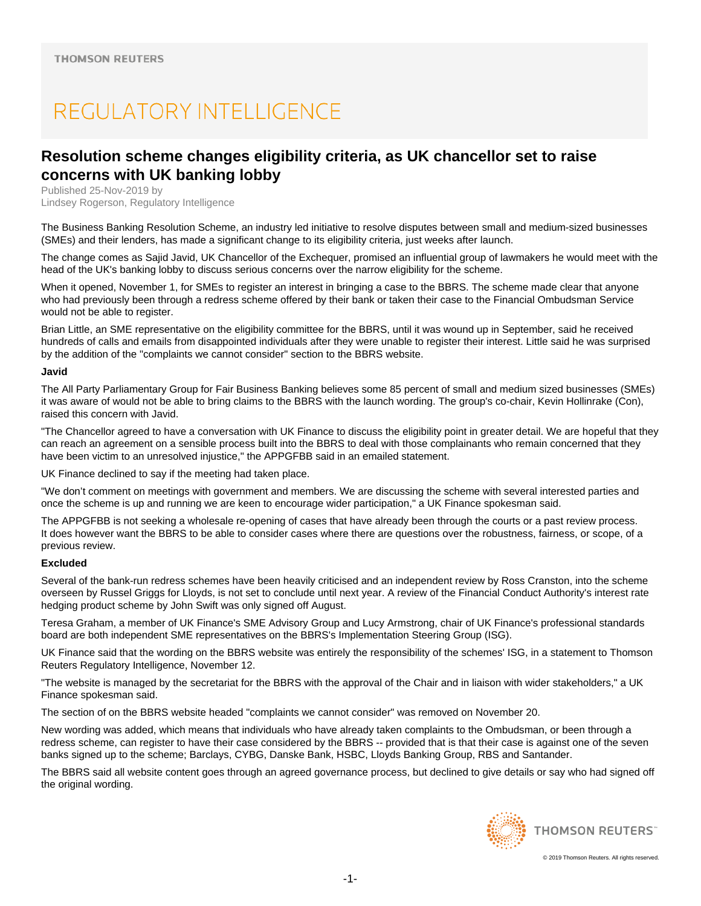# REGULATORY INTELLIGENCE

## **Resolution scheme changes eligibility criteria, as UK chancellor set to raise concerns with UK banking lobby**

Published 25-Nov-2019 by Lindsey Rogerson, Regulatory Intelligence

The Business Banking Resolution Scheme, an industry led initiative to resolve disputes between small and medium-sized businesses (SMEs) and their lenders, has made a significant change to its eligibility criteria, just weeks after launch.

The change comes as Sajid Javid, UK Chancellor of the Exchequer, promised an influential group of lawmakers he would meet with the head of the UK's banking lobby to discuss serious concerns over the narrow eligibility for the scheme.

When it opened. November 1, for SMEs to register an interest in bringing a case to the BBRS. The scheme made clear that anyone who had previously been through a redress scheme offered by their bank or taken their case to the Financial Ombudsman Service would not be able to register.

Brian Little, an SME representative on the eligibility committee for the BBRS, until it was wound up in September, said he received hundreds of calls and emails from disappointed individuals after they were unable to register their interest. Little said he was surprised by the addition of the "complaints we cannot consider" section to the BBRS website.

### **Javid**

The All Party Parliamentary Group for Fair Business Banking believes some 85 percent of small and medium sized businesses (SMEs) it was aware of would not be able to bring claims to the BBRS with the launch wording. The group's co-chair, Kevin Hollinrake (Con), raised this concern with Javid.

"The Chancellor agreed to have a conversation with UK Finance to discuss the eligibility point in greater detail. We are hopeful that they can reach an agreement on a sensible process built into the BBRS to deal with those complainants who remain concerned that they have been victim to an unresolved injustice," the APPGFBB said in an emailed statement.

UK Finance declined to say if the meeting had taken place.

"We don't comment on meetings with government and members. We are discussing the scheme with several interested parties and once the scheme is up and running we are keen to encourage wider participation," a UK Finance spokesman said.

The APPGFBB is not seeking a wholesale re-opening of cases that have already been through the courts or a past review process. It does however want the BBRS to be able to consider cases where there are questions over the robustness, fairness, or scope, of a previous review.

### **Excluded**

Several of the bank-run redress schemes have been heavily criticised and an independent review by Ross Cranston, into the scheme overseen by Russel Griggs for Lloyds, is not set to conclude until next year. A review of the Financial Conduct Authority's interest rate hedging product scheme by John Swift was only signed off August.

Teresa Graham, a member of UK Finance's SME Advisory Group and Lucy Armstrong, chair of UK Finance's professional standards board are both independent SME representatives on the BBRS's Implementation Steering Group (ISG).

UK Finance said that the wording on the BBRS website was entirely the responsibility of the schemes' ISG, in a statement to Thomson Reuters Regulatory Intelligence, November 12.

"The website is managed by the secretariat for the BBRS with the approval of the Chair and in liaison with wider stakeholders," a UK Finance spokesman said.

The section of on the BBRS website headed "complaints we cannot consider" was removed on November 20.

New wording was added, which means that individuals who have already taken complaints to the Ombudsman, or been through a redress scheme, can register to have their case considered by the BBRS -- provided that is that their case is against one of the seven banks signed up to the scheme; Barclays, CYBG, Danske Bank, HSBC, Lloyds Banking Group, RBS and Santander.

The BBRS said all website content goes through an agreed governance process, but declined to give details or say who had signed off the original wording.



**THOMSON REUTERS**